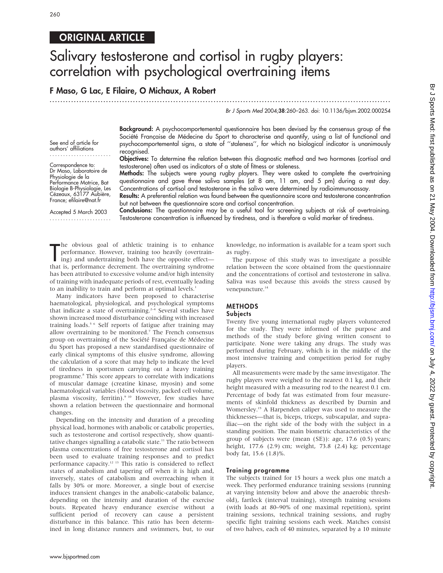# 260

# ORIGINAL ARTICLE

# Salivary testosterone and cortisol in rugby players: correlation with psychological overtraining items

# F Maso, G Lac, E Filaire, O Michaux, A Robert

...............................................................................................................................

Br J Sports Med 2004;38:260–263. doi: 10.1136/bjsm.2002.000254

See end of article for authors' affiliations .......................

Correspondence to: Dr Maso, Laboratoire de Physiologie de la Performance Motrice, Bat Biologie B-Physiologie, Les Cézeaux, 63177 Aubière, France; efilaire@nat.fr

Accepted 5 March 2003 .......................

psychocomportemental signs, a state of ''staleness'', for which no biological indicator is unanimously recognised. Objectives: To determine the relation between this diagnostic method and two hormones (cortisol and testosterone) often used as indicators of a state of fitness or staleness.

Background: A psychocomportemental questionnaire has been devised by the consensus group of the Société Française de Médecine du Sport to characterise and quantify, using a list of functional and

Methods: The subjects were young rugby players. They were asked to complete the overtraining questionnaire and gave three saliva samples (at 8 am, 11 am, and 5 pm) during a rest day. Concentrations of cortisol and testosterone in the saliva were determined by radioimmunoassay.

Results: A preferential relation was found between the questionnaire score and testosterone concentration but not between the questionnaire score and cortisol concentration.

Conclusions: The questionnaire may be a useful tool for screening subjects at risk of overtraining. Testosterone concentration is influenced by tiredness, and is therefore a valid marker of tiredness.

The obvious goal of athletic training is to enhance<br>performance. However, training too heavily (overtraining)<br>ing) and undertraining both have the opposite effect—<br>that is, performance decrement. The overtraining syndrome he obvious goal of athletic training is to enhance performance. However, training too heavily (overtraining) and undertraining both have the opposite effect has been attributed to excessive volume and/or high intensity of training with inadequate periods of rest, eventually leading to an inability to train and perform at optimal levels.<sup>1</sup>

Many indicators have been proposed to characterise haematological, physiological, and psychological symptoms that indicate a state of overtraining.<sup>2-4</sup> Several studies have shown increased mood disturbance coinciding with increased training loads.5 6 Self reports of fatigue after training may allow overtraining to be monitored.7 The French consensus group on overtraining of the Société Française de Médecine du Sport has proposed a new standardised questionnaire of early clinical symptoms of this elusive syndrome, allowing the calculation of a score that may help to indicate the level of tiredness in sportsmen carrying out a heavy training programme.8 This score appears to correlate with indications of muscular damage (creatine kinase, myosin) and some haematological variables (blood viscosity, packed cell volume, plasma viscosity, ferritin).<sup>9 10</sup> However, few studies have shown a relation between the questionnaire and hormonal changes.

Depending on the intensity and duration of a preceding physical load, hormones with anabolic or catabolic properties, such as testosterone and cortisol respectively, show quantitative changes signalling a catabolic state.<sup>11</sup> The ratio between plasma concentrations of free testosterone and cortisol has been used to evaluate training responses and to predict performance capacity.12 13 This ratio is considered to reflect states of anabolism and tapering off when it is high and, inversely, states of catabolism and overreaching when it falls by 30% or more. Moreover, a single bout of exercise induces transient changes in the anabolic-catabolic balance, depending on the intensity and duration of the exercise bouts. Repeated heavy endurance exercise without a sufficient period of recovery can cause a persistent disturbance in this balance. This ratio has been determined in long distance runners and swimmers, but, to our knowledge, no information is available for a team sport such as rugby.

The purpose of this study was to investigate a possible relation between the score obtained from the questionnaire and the concentrations of cortisol and testosterone in saliva. Saliva was used because this avoids the stress caused by venepuncture.<sup>14</sup>

## METHODS

#### **Subjects**

Twenty five young international rugby players volunteered for the study. They were informed of the purpose and methods of the study before giving written consent to participate. None were taking any drugs. The study was performed during February, which is in the middle of the most intensive training and competition period for rugby players.

All measurements were made by the same investigator. The rugby players were weighed to the nearest 0.1 kg, and their height measured with a measuring rod to the nearest 0.1 cm. Percentage of body fat was estimated from four measurements of skinfold thickness as described by Durnin and Womersley.15 A Harpenden caliper was used to measure the thicknesses—that is, biceps, triceps, subscapular, and suprailiac—on the right side of the body with the subject in a standing position. The main biometric characteristics of the group of subjects were (mean (SE)): age, 17.6 (0.5) years; height, 177.6 (2.9) cm; weight, 73.8 (2.4) kg; percentage body fat, 15.6 (1.8)%.

#### Training programme

The subjects trained for 15 hours a week plus one match a week. They performed endurance training sessions (running at varying intensity below and above the anaerobic threshold), fartleck (interval training), strength training sessions (with loads at 80–90% of one maximal repetition), sprint training sessions, technical training sessions, and rugby specific fight training sessions each week. Matches consist of two halves, each of 40 minutes, separated by a 10 minute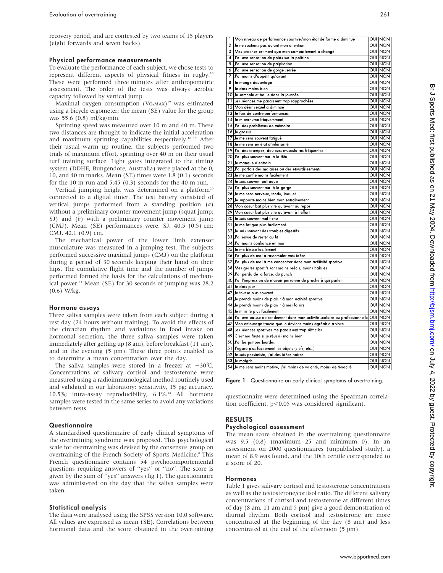recovery period, and are contested by two teams of 15 players (eight forwards and seven backs).

#### Physical performance measurements

To evaluate the performance of each subject, we chose tests to represent different aspects of physical fitness in rugby.16 These were performed three minutes after anthropometric assessment. The order of the tests was always aerobic capacity followed by vertical jump.

Maximal oxygen consumption  $(V_{O_2MAX})^{17}$  was estimated using a bicycle ergometer; the mean (SE) value for the group was 55.6 (0.8) ml/kg/min.

Sprinting speed was measured over 10 m and 40 m. These two distances are thought to indicate the initial acceleration and maximum sprinting capabilities respectively.18 19 After their usual warm up routine, the subjects performed two trials of maximum effort, sprinting over 40 m on their usual turf training surface. Light gates integrated to the timing system (DDHE, Bungendore, Australia) were placed at the 0, 10, and 40 m marks. Mean (SE) times were 1.8 (0.1) seconds for the 10 m run and 5.45 (0.3) seconds for the 40 m run.

Vertical jumping height was determined on a platform<sup>20</sup> connected to a digital timer. The test battery consisted of vertical jumps performed from a standing position  $(a)$ without a preliminary counter movement jump (squat jump; SJ) and (b) with a preliminary counter movement jump (CMJ). Mean (SE) performances were: SJ, 40.5 (0.5) cm; CMJ, 42.1 (0.9) cm.

The mechanical power of the lower limb extensor musculature was measured in a jumping test. The subjects performed successive maximal jumps (CMJ) on the platform during a period of 30 seconds keeping their hand on their hips. The cumulative flight time and the number of jumps performed formed the basis for the calculations of mechanical power.<sup>21</sup> Mean (SE) for 30 seconds of jumping was 28.2 (0.6) W/kg.

#### Hormone assays

Three saliva samples were taken from each subject during a rest day (24 hours without training). To avoid the effects of the circadian rhythm and variations in food intake on hormonal secretion, the three saliva samples were taken immediately after getting up (8 am), before breakfast (11 am), and in the evening (5 pm). These three points enabled us to determine a mean concentration over the day.

The saliva samples were stored in a freezer at  $-30^{\circ}$ C. Concentrations of salivary cortisol and testosterone were measured using a radioimmunological method routinely used and validated in our laboratory: sensitivity, 15 pg; accuracy, 10.5%; intra-assay reproducibility, 6.1%.<sup>14</sup> All hormone samples were tested in the same series to avoid any variations between tests.

#### Questionnaire

A standardised questionnaire of early clinical symptoms of the overtraining syndrome was proposed. This psychological scale for overtraining was devised by the consensus group on overtraining of the French Society of Sports Medicine.<sup>8</sup> This French questionnaire contains 54 psychocomportemental questions requiring answers of ''yes'' or ''no''. The score is given by the sum of ''yes'' answers (fig 1). The questionnaire was administered on the day that the saliva samples were taken.

#### Statistical analysis

The data were analysed using the SPSS version 10.0 software. All values are expressed as mean (SE). Correlations between hormonal data and the score obtained in the overtraining

| 1              | Mon niveau de performance sportive/mon état de forme a diminué                | OUI NON        |
|----------------|-------------------------------------------------------------------------------|----------------|
| $\overline{2}$ | Je ne soutiens pas autant mon attention                                       | OUI NON        |
| 3              | Mes proches estiment que mon comportement a changé                            | OUI  NON       |
| 4              | J'ai une sensation de poids sur la poitrine                                   | OUI NON        |
| 5              | J'ai une sensation de palpitation                                             | OUI NON        |
| 6              | J'ai une sensation de gorge serrée                                            | OUI  NON       |
| 7              | J'ai moins d'appétit qu'avant                                                 | OUI NON        |
| 8              | Je mange davantage                                                            | <b>OUI</b> NON |
| 9              | Je dors moins bien                                                            | <b>OUI</b> NON |
|                | 10 Je somnole et baille dans la journée                                       | OUI NON        |
|                | 11 Les séances me paraissent trop rapprochées                                 | OUI NON        |
|                | 12 Mon désir sexuel a diminué                                                 | OUI NON        |
|                | 13 Je fais de contre performances                                             | OUI  NON       |
|                | 14 Je m'enrhume fréquemment                                                   | OUI NON        |
|                | 15 J'ai des problémes de mémoire                                              | OUI  NON       |
|                | 16 Je grossis                                                                 | OUI NON        |
|                | 17 Je me sens souvent fatigué                                                 | OUI NON        |
|                | 18 Je me sens en état d'infériorité                                           | OUI NON        |
|                | 19 J'ai des crampes, douleurs musculaires fréquentes                          | OUI NON        |
|                | 20 J'ai plus souvent mal à la tête                                            | OUI NON        |
|                | 21 Je manque d'entrain                                                        | OUI NON        |
|                | 22 J'ai parfois des malaises ou des étourdissements                           | OUI NON        |
|                | 23 Je me confie moins facilement                                              | OUI NON        |
|                | 24 Je suis souvent patraque                                                   | OUI NON        |
|                | 25 J'ai plus souvent mal à la gorge                                           | OUI NON        |
|                | 26 Je me sens nerveux, tendu, inquiet                                         | OUI NON        |
|                | 27 Je supporte moins bien mon entraînement                                    | OUI NON        |
|                | 28 Mon coeur bat plus vite qu'avant au repos                                  | OUI NON        |
|                | 29 Mon coeur bat plus vite qu'avant à l'effort                                | OUI NON        |
|                | 30 Je suis souvent mal fichu                                                  | OUI NON        |
|                | 31 Je me fatigue plus facilement                                              | OUI NON        |
|                | 32 Je suis souvant des troubles digestifs                                     | OUI NON        |
|                | 33 J'ai envie de rester au <b>l</b> it                                        | OUI  NON       |
|                | 34  J'ai moins confiance en moi                                               | OUI NON        |
|                | 35 Je me blesse facilement                                                    | OUI NON        |
|                | 36 J'ai plus de mal à rassembler mes idées                                    | OUI NON        |
|                | 37 J'ai plus de mal à me concentrer dans mon actitivité sportive              | OUI NON        |
|                | 38 Mes gestes sportifs sont moins précis, moins habiles                       | OUI  NON       |
|                | 39 J'ai perdu de la force, du punch                                           | OUI NON        |
|                | 40 J'ai l'impression de n'avoir personne de proche à qui parler               | OUI NON        |
|                | 41 Je dors plus                                                               | OUI NON        |
|                | 42 Je tousse plus souvent                                                     | OUI NON        |
|                | 43 Je prends moins de plaisir à mon activité sportive                         | OUI  NON       |
|                | 44 Je prends moins de plaisir à mes loisirs                                   | OUI NON        |
|                | 45 Je m'irrite plus facilement                                                | OUI NON        |
|                | 46 J'ai une baisse de rendement dans mon activité scolaire ou professionnelle | <b>OUI</b> NON |
|                | 47 Mon entourage trouve que je deviens moins agréable a vivre                 | OUI NON        |
|                | 48 Les séances sportives me paraissent trop difficiles                        | OUI  NON       |
|                | 49 C'est ma faute si je réussis moins bien                                    | OUI NON        |
|                | 50 J'ai les jambes lourdes                                                    | OUI NON        |
|                | 51 J'égare plus facilement les objets (clefs, etc)                            | OUI NON        |
|                | 52 Je suis pessimiste, j'ai des idées noires                                  | OUI NON        |
|                | 53 Je maigris                                                                 | OUI NON        |
|                | 54 Je me sens moins motivé, j'ai moins de volonté, moins de ténacité          | <b>OUI NON</b> |

Figure 1 Questionnaire on early clinical symptoms of overtraining.

questionnaire were determined using the Spearman correlation coefficient.  $p<0.05$  was considered significant.

# RESULTS

#### Psychological assessment

The mean score obtained in the overtraining questionnaire was 9.5 (0.8) (maximum 25 and minimum 0). In an assessment on 2000 questionnaires (unpublished study), a mean of 8.9 was found, and the 10th centile corresponded to a score of 20.

#### Hormones

Table 1 gives salivary cortisol and testosterone concentrations as well as the testosterone/cortisol ratio. The different salivary concentrations of cortisol and testosterone at different times of day (8 am, 11 am and 5 pm) give a good demonstration of diurnal rhythm. Both cortisol and testosterone are more concentrated at the beginning of the day (8 am) and less concentrated at the end of the afternoon (5 pm).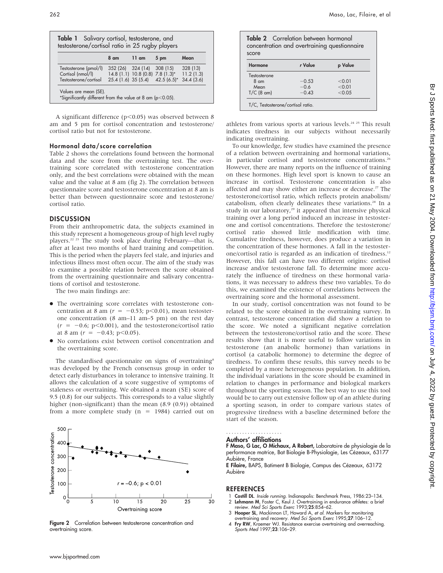|                                            | 8 am              | 11 am | 5 pm                                                    | Mean     |
|--------------------------------------------|-------------------|-------|---------------------------------------------------------|----------|
| Testosterone (pmol/l)<br>Cortisol (nmol/l) | 352 (26) 324 (14) |       | 308(15)<br>$14.8(1.1)$ 10.8 (0.8) 7.8 (1.3)* 11.2 (1.3) | 328 (13) |
| Testosterone/cortisol                      |                   |       | $25.4$ (1.6) 35 (5.4) 42.5 (6.5)* 34.4 (3.6)            |          |

A significant difference ( $p$ <0.05) was observed between 8 am and 5 pm for cortisol concentration and testosterone/ cortisol ratio but not for testosterone.

## Hormonal data/score correlation

Table 2 shows the correlations found between the hormonal data and the score from the overtraining test. The overtraining score correlated with testosterone concentration only, and the best correlations were obtained with the mean value and the value at 8 am (fig 2). The correlation between questionnaire score and testosterone concentration at 8 am is better than between questionnaire score and testosterone/ cortisol ratio.

## DISCUSSION

From their anthropometric data, the subjects examined in this study represent a homogeneous group of high level rugby players.<sup>22 23</sup> The study took place during February—that is, after at least two months of hard training and competition. This is the period when the players feel stale, and injuries and infectious illness most often occur. The aim of the study was to examine a possible relation between the score obtained from the overtraining questionnaire and salivary concentrations of cortisol and testosterone.

The two main findings are:

- The overtraining score correlates with testosterone concentration at 8 am ( $r = -0.53$ ; p<0.01), mean testosterone concentration (8 am–11 am–5 pm) on the rest day  $(r = -0.6; p<0.001)$ , and the testosterone/cortisol ratio at 8 am  $(r = -0.43; \text{ p} < 0.05)$ .
- $\bullet$  No correlations exist between cortisol concentration and the overtraining score.

The standardised questionnaire on signs of overtraining<sup>8</sup> was developed by the French consensus group in order to detect early disturbances in tolerance to intensive training. It allows the calculation of a score suggestive of symptoms of staleness or overtraining. We obtained a mean (SE) score of 9.5 (0.8) for our subjects. This corresponds to a value slightly higher (non-significant) than the mean (8.9 (0.9)) obtained from a more complete study  $(n = 1984)$  carried out on



Figure 2 Correlation between testosterone concentration and overtraining score.

Table 2 Correlation between hormonal concentration and overtraining questionnaire score

| Hormone        | r Value | p Value |
|----------------|---------|---------|
| Testosterone   |         |         |
| $8 \text{ cm}$ | $-0.53$ | < 0.01  |
| Mean           | $-0.6$  | < 0.01  |
| $T/C$ (8 am)   | $-0.43$ | < 0.05  |

athletes from various sports at various levels.<sup>24 25</sup> This result indicates tiredness in our subjects without necessarily indicating overtraining.

To our knowledge, few studies have examined the presence of a relation between overtraining and hormonal variations, in particular cortisol and testosterone concentrations.<sup>26</sup> However, there are many reports on the influence of training on these hormones. High level sport is known to cause an increase in cortisol. Testosterone concentration is also affected and may show either an increase or decrease.<sup>27</sup> The testosterone/cortisol ratio, which reflects protein anabolism/ catabolism, often clearly delineates these variations.<sup>28</sup> In a study in our laboratory,<sup>29</sup> it appeared that intensive physical training over a long period induced an increase in testosterone and cortisol concentrations. Therefore the testosterone/ cortisol ratio showed little modification with time. Cumulative tiredness, however, does produce a variation in the concentration of these hormones. A fall in the testosterone/cortisol ratio is regarded as an indication of tiredness.12 However, this fall can have two different origins: cortisol increase and/or testosterone fall. To determine more accurately the influence of tiredness on these hormonal variations, it was necessary to address these two variables. To do this, we examined the existence of correlations between the overtraining score and the hormonal assessment.

In our study, cortisol concentration was not found to be related to the score obtained in the overtraining survey. In contrast, testosterone concentration did show a relation to the score. We noted a significant negative correlation between the testosterone/cortisol ratio and the score. These results show that it is more useful to follow variations in testosterone (an anabolic hormone) than variations in cortisol (a catabolic hormone) to determine the degree of tiredness. To confirm these results, this survey needs to be completed by a more heterogeneous population. In addition, the individual variations in the score should be examined in relation to changes in performance and biological markers throughout the sporting season. The best way to use this tool would be to carry out extensive follow up of an athlete during a sporting season, in order to compare various states of progressive tiredness with a baseline determined before the start of the season.

#### Authors' affiliations .....................

F Maso, G Lac, O Michaux, A Robert, Laboratoire de physiologie de la performance motrice, Bat Biologie B-Physiologie, Les Cézeaux, 63177 Aubière, France

E Filaire, BAPS, Batiment B Biologie, Campus des Cézeaux, 63172 Aubière

## **REFERENCES**

- Costill DL. Inside running. Indianapolis: Benchmark Press, 1986:23-134.
- 2 Lehmann M, Foster C, Keul J. Overtraining in endurance athletes: a brief
- review. *Med Sci Sports Exerc* 1993;**25**:854–62.<br>3 **Hooper SL**, Mackinnon LT, Howard A, *et al.* Markers for monitoring
- overtraining and recovery. Med Sci Sports Exerc 1995;27:106–12. 4 Fry RW, Kraemer WJ. Resistance exercise overtraining and overreaching. Sports Med 1997;23:106–29.